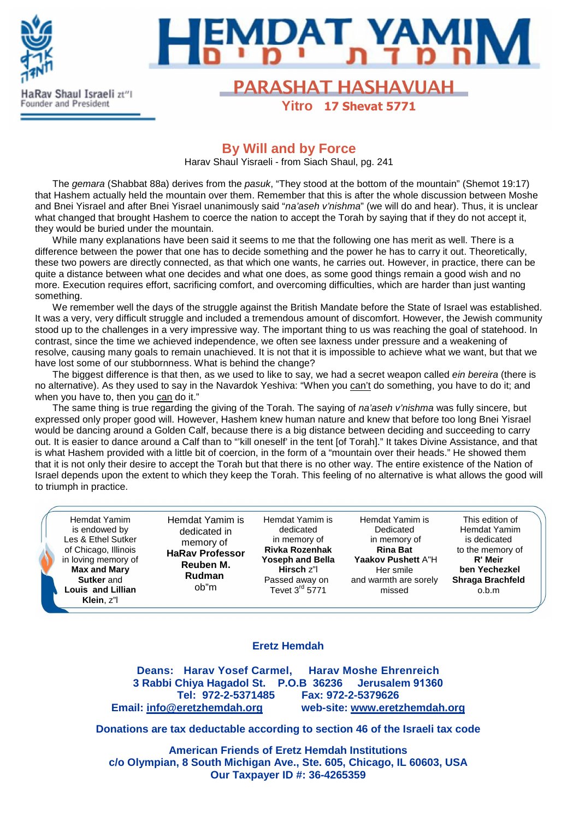



# Rav Shaul Israeli zt<sup>ri</sup>l **FARASHAT HASHAVUAH**

**Yitro 17 Shevat 5771**

### **By Will and by Force**

Harav Shaul Yisraeli - from Siach Shaul, pg. 241

The gemara (Shabbat 88a) derives from the pasuk, "They stood at the bottom of the mountain" (Shemot 19:17) that Hashem actually held the mountain over them. Remember that this is after the whole discussion between Moshe and Bnei Yisrael and after Bnei Yisrael unanimously said "na'aseh v'nishma" (we will do and hear). Thus, it is unclear what changed that brought Hashem to coerce the nation to accept the Torah by saying that if they do not accept it, they would be buried under the mountain.

While many explanations have been said it seems to me that the following one has merit as well. There is a difference between the power that one has to decide something and the power he has to carry it out. Theoretically, these two powers are directly connected, as that which one wants, he carries out. However, in practice, there can be quite a distance between what one decides and what one does, as some good things remain a good wish and no more. Execution requires effort, sacrificing comfort, and overcoming difficulties, which are harder than just wanting something.

We remember well the days of the struggle against the British Mandate before the State of Israel was established. It was a very, very difficult struggle and included a tremendous amount of discomfort. However, the Jewish community stood up to the challenges in a very impressive way. The important thing to us was reaching the goal of statehood. In contrast, since the time we achieved independence, we often see laxness under pressure and a weakening of resolve, causing many goals to remain unachieved. It is not that it is impossible to achieve what we want, but that we have lost some of our stubbornness. What is behind the change?

The biggest difference is that then, as we used to like to say, we had a secret weapon called *ein bereira* (there is no alternative). As they used to say in the Navardok Yeshiva: "When you can't do something, you have to do it; and when you have to, then you can do it."

The same thing is true regarding the giving of the Torah. The saying of na'aseh v'nishma was fully sincere, but expressed only proper good will. However, Hashem knew human nature and knew that before too long Bnei Yisrael would be dancing around a Golden Calf, because there is a big distance between deciding and succeeding to carry out. It is easier to dance around a Calf than to "'kill oneself' in the tent [of Torah]." It takes Divine Assistance, and that is what Hashem provided with a little bit of coercion, in the form of a "mountain over their heads." He showed them that it is not only their desire to accept the Torah but that there is no other way. The entire existence of the Nation of Israel depends upon the extent to which they keep the Torah. This feeling of no alternative is what allows the good will to triumph in practice.

Hemdat Yamim is endowed by Les & Ethel Sutker of Chicago, Illinois in loving memory of **Max and Mary Sutker** and **Louis and Lillian Klein**, z"l

Hemdat Yamim is dedicated in memory of **HaRav Professor Reuben M. Rudman** ob"m

Hemdat Yamim is dedicated in memory of **Rivka Rozenhak Yoseph and Bella Hirsch** z"l Passed away on Tevet 3rd 5771

Hemdat Yamim is Dedicated in memory of **Rina Bat Yaakov Pushett** A"H Her smile and warmth are sorely missed

This edition of Hemdat Yamim is dedicated to the memory of **R' Meir ben Yechezkel Shraga Brachfeld** o.b.m

#### **Eretz Hemdah**

**Deans: Harav Yosef Carmel, Harav Moshe Ehrenreich 3 Rabbi Chiya Hagadol St. P.O.B 36236 Jerusalem 91360 Tel: 972-2-5371485 Fax: 972-2-5379626 Email: info@eretzhemdah.org web-site: www.eretzhemdah.org**

**Donations are tax deductable according to section 46 of the Israeli tax code** 

**American Friends of Eretz Hemdah Institutions c/o Olympian, 8 South Michigan Ave., Ste. 605, Chicago, IL 60603, USA Our Taxpayer ID #: 36-4265359**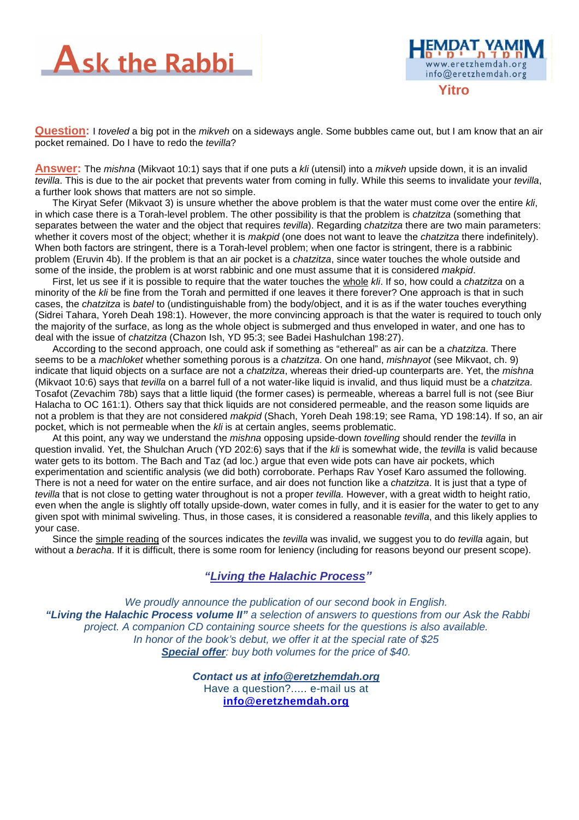



**Question:** I toveled a big pot in the mikveh on a sideways angle. Some bubbles came out, but I am know that an air pocket remained. Do I have to redo the *tevilla*?

**Answer:** The mishna (Mikvaot 10:1) says that if one puts a kli (utensil) into a mikveh upside down, it is an invalid tevilla. This is due to the air pocket that prevents water from coming in fully. While this seems to invalidate your tevilla, a further look shows that matters are not so simple.

The Kiryat Sefer (Mikvaot 3) is unsure whether the above problem is that the water must come over the entire kli, in which case there is a Torah-level problem. The other possibility is that the problem is *chatzitza* (something that separates between the water and the object that requires *tevilla*). Regarding chatzitza there are two main parameters: whether it covers most of the object; whether it is makpid (one does not want to leave the chatzitza there indefinitely). When both factors are stringent, there is a Torah-level problem; when one factor is stringent, there is a rabbinic problem (Eruvin 4b). If the problem is that an air pocket is a chatzitza, since water touches the whole outside and some of the inside, the problem is at worst rabbinic and one must assume that it is considered makpid.

First, let us see if it is possible to require that the water touches the whole kli. If so, how could a chatzitza on a minority of the kli be fine from the Torah and permitted if one leaves it there forever? One approach is that in such cases, the chatzitza is batel to (undistinguishable from) the body/object, and it is as if the water touches everything (Sidrei Tahara, Yoreh Deah 198:1). However, the more convincing approach is that the water is required to touch only the majority of the surface, as long as the whole object is submerged and thus enveloped in water, and one has to deal with the issue of chatzitza (Chazon Ish, YD 95:3; see Badei Hashulchan 198:27).

According to the second approach, one could ask if something as "ethereal" as air can be a *chatzitza*. There seems to be a *machloket* whether something porous is a *chatzitza*. On one hand, *mishnayot* (see Mikvaot, ch. 9) indicate that liquid objects on a surface are not a *chatzitza*, whereas their dried-up counterparts are. Yet, the *mishna* (Mikvaot 10:6) says that tevilla on a barrel full of a not water-like liquid is invalid, and thus liquid must be a chatzitza. Tosafot (Zevachim 78b) says that a little liquid (the former cases) is permeable, whereas a barrel full is not (see Biur Halacha to OC 161:1). Others say that thick liquids are not considered permeable, and the reason some liquids are not a problem is that they are not considered makpid (Shach, Yoreh Deah 198:19; see Rama, YD 198:14). If so, an air pocket, which is not permeable when the kli is at certain angles, seems problematic.

At this point, any way we understand the *mishna* opposing upside-down *tovelling* should render the tevilla in question invalid. Yet, the Shulchan Aruch (YD 202:6) says that if the kli is somewhat wide, the tevilla is valid because water gets to its bottom. The Bach and Taz (ad loc.) argue that even wide pots can have air pockets, which experimentation and scientific analysis (we did both) corroborate. Perhaps Rav Yosef Karo assumed the following. There is not a need for water on the entire surface, and air does not function like a chatzitza. It is just that a type of tevilla that is not close to getting water throughout is not a proper tevilla. However, with a great width to height ratio, even when the angle is slightly off totally upside-down, water comes in fully, and it is easier for the water to get to any given spot with minimal swiveling. Thus, in those cases, it is considered a reasonable tevilla, and this likely applies to your case.

Since the simple reading of the sources indicates the *tevilla* was invalid, we suggest you to do *tevilla* again, but without a beracha. If it is difficult, there is some room for leniency (including for reasons beyond our present scope).

#### **"Living the Halachic Process***"*

We proudly announce the publication of our second book in English.  **"Living the Halachic Process volume II"** a selection of answers to questions from our Ask the Rabbi project. A companion CD containing source sheets for the questions is also available. In honor of the book's debut, we offer it at the special rate of \$25 **Special offer**: buy both volumes for the price of \$40.

> **Contact us at info@eretzhemdah.org** Have a question?..... e-mail us at **info@eretzhemdah.org**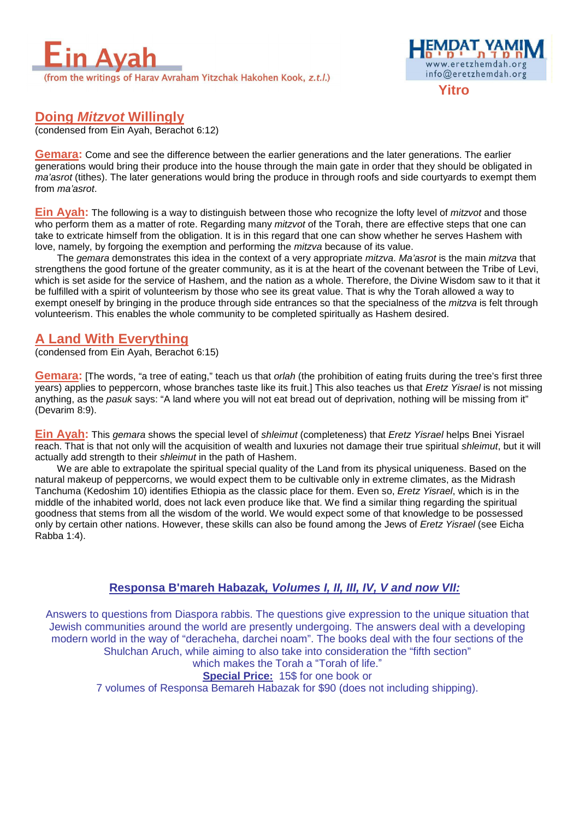



## **Doing Mitzvot Willingly**

(condensed from Ein Ayah, Berachot 6:12)

**Gemara:** Come and see the difference between the earlier generations and the later generations. The earlier generations would bring their produce into the house through the main gate in order that they should be obligated in ma'asrot (tithes). The later generations would bring the produce in through roofs and side courtyards to exempt them from ma'asrot.

**Ein Ayah:** The following is a way to distinguish between those who recognize the lofty level of *mitzvot* and those who perform them as a matter of rote. Regarding many *mitzvot* of the Torah, there are effective steps that one can take to extricate himself from the obligation. It is in this regard that one can show whether he serves Hashem with love, namely, by forgoing the exemption and performing the *mitzva* because of its value.

The gemara demonstrates this idea in the context of a very appropriate mitzva. Ma'asrot is the main mitzva that strengthens the good fortune of the greater community, as it is at the heart of the covenant between the Tribe of Levi, which is set aside for the service of Hashem, and the nation as a whole. Therefore, the Divine Wisdom saw to it that it be fulfilled with a spirit of volunteerism by those who see its great value. That is why the Torah allowed a way to exempt oneself by bringing in the produce through side entrances so that the specialness of the *mitzva* is felt through volunteerism. This enables the whole community to be completed spiritually as Hashem desired.

#### **A Land With Everything**

(condensed from Ein Ayah, Berachot 6:15)

**Gemara:** [The words, "a tree of eating," teach us that orlah (the prohibition of eating fruits during the tree's first three years) applies to peppercorn, whose branches taste like its fruit.] This also teaches us that Eretz Yisrael is not missing anything, as the pasuk says: "A land where you will not eat bread out of deprivation, nothing will be missing from it" (Devarim 8:9).

**Ein Ayah:** This gemara shows the special level of shleimut (completeness) that Eretz Yisrael helps Bnei Yisrael reach. That is that not only will the acquisition of wealth and luxuries not damage their true spiritual shleimut, but it will actually add strength to their shleimut in the path of Hashem.

We are able to extrapolate the spiritual special quality of the Land from its physical uniqueness. Based on the natural makeup of peppercorns, we would expect them to be cultivable only in extreme climates, as the Midrash Tanchuma (Kedoshim 10) identifies Ethiopia as the classic place for them. Even so, Eretz Yisrael, which is in the middle of the inhabited world, does not lack even produce like that. We find a similar thing regarding the spiritual goodness that stems from all the wisdom of the world. We would expect some of that knowledge to be possessed only by certain other nations. However, these skills can also be found among the Jews of Eretz Yisrael (see Eicha Rabba 1:4).

#### **Responsa B'mareh Habazak, Volumes I, II, III, IV, V and now VII:**

Answers to questions from Diaspora rabbis. The questions give expression to the unique situation that Jewish communities around the world are presently undergoing. The answers deal with a developing modern world in the way of "deracheha, darchei noam". The books deal with the four sections of the Shulchan Aruch, while aiming to also take into consideration the "fifth section" which makes the Torah a "Torah of life."

# **Special Price:** 15\$ for one book or

7 volumes of Responsa Bemareh Habazak for \$90 (does not including shipping).